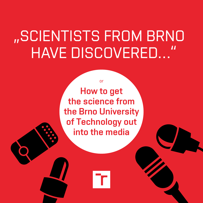## "SCIENTISTS FROM BRNO HAVE DISCOVERED…"

How to get the science from the Brno University of Technology out into the media

or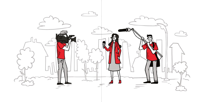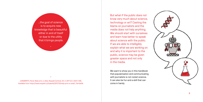...the goal of science is to acquire new knowledge that is beautiful either in and of itself or due to the utility that it brings people.

\*

\* JUNGWIRTH, Pavel. Malý princ a věda. Respekt [online]. 25. 3. 2017 [cit. 2021-7-29]. Available from: https://www.respekt.cz/tydenik/2017/13/maly-princ-a-veda?\_fid=dw5b

But what if the public does not know very much about science, technology or art? Casting the blame on journalists and the media does not help anything. We should start with ourselves and learn how better to speak about science with the public. If we are able to intelligibly explain what we are working on and why it is important to the public, science may be given greater space and not only in the media.

We want to show you in this handbook that popularisation and communicating with journalists is not rocket science. It can also be fun and a skill that can come in handy.

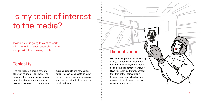## Is my topic of interest to the media?

If a journalist is going to want to work with the topic of your research, it has to comply with the following points:

### **Topicality**

Findings that are a couple of years old are of no interest to anyone. The important thing is what is happening now – the start of some interesting research, the latest prototype, some surprising results or a new collaboration. You can also update an older topic – if roads have been cracking in summer, revive the topic of new road repair methods.

### **Distinctiveness**

Why should reporters film something with you rather than with another research team? Are you the first to do something or somehow unique? Have you taken a different approach than that of the "competition"? It is not necessary to be absolutely unique, but you do need to explain where your merits lie.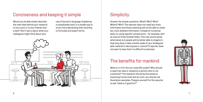### Conciseness and keeping it simple

Would you be able simply describe the main idea behind your research to your aunt or to your friends over a beer? Don't worry about what your colleagues might think about your

use of layman's language. Explaining a complicated topic in a simple way is much more demanding that reverting to formulae and expert terms.



### **Simplicity**

Answer the simple questions. What? Who? Why? Where? Why? The reporter does not need any more information and those watching will not be able to retain any more detailed information. Instead of numerical data, try using specific comparisons – for example, with an area of three football fields. This may sound somewhat banal, but people will be better able to imagine it. How long does it take a bottle made of your biodegradable material to decompose in nature? A reporter does not want to hear that it is difficult to estimate.

### The benefits for mankind

What is in it for the non-scientific public? Why should a report be read or viewed by a person who is not a scientist? The research should be focussed on improving human lives and as such, you should use illustrative examples. Prepare yourself for the reporter to ask "what is it good for?"

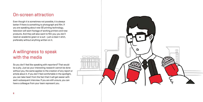### On-screen attraction

Even though it is sometimes not possible, it is always better if there is something to photograph and film. If you are speaking about new 3D printing technology, television will want footage of working printers and new products. And they will also want to film you; you don't need an academic gown or a suit – just a clean t-shirt, preferably without anything written on it.

## A willingness to speak with the media

So you don't feel like speaking with reporters? That would be a pity. Just as your interesting research cannot be done without you, the same applies to the creation of any report or article about it. If you don't feel comfortable in the spotlight, you can take heart from the fact that it will get easier with each subsequent interview. If you are still unsure, you can have a colleague from your team represent you.

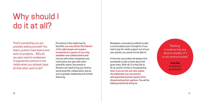## Why should I do it at all?

That's something you are possibly asking yourself. You teach, publish, lead teams and work on projects… Why do you also need to endeavour to popularise science in the media when you already have all that other work to do?

Promotion in the media has its benefits: you may attract the interest of the right people and acquire investments or grants. Or you may establish new collaborations and not just with other companies and institutions, but also with other scientific teams. One article in Reuters can easily bring you international scientific collaboration and as such a greater readership and further financing.

Nowadays, compulsory publicity is also a commonplace part of projects. If you had to pay for media support out of your own pocket, you would not be able to.

In the end, a journalist will always find somebody to talk to them about the given topic. After all, it is their job to fill up column inches or broadcasting time. If you are the one who makes the statement, you can prevent self-appointed pseudo-experts from disseminating their opinions. You will be helping science by doing so.

"Nothing in science has any value to society, if it is not communicated."

> **Anne Roe,** an American psychologist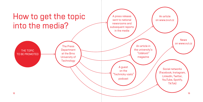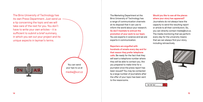The Brno University of Technology has its own Press Department. Just send us a tip concerning the topic and we will take care of the rest for you. You don't have to write your own articles – it is sufficient to submit a brief summary, in which you set out your project and its unique aspects in layman's terms.



You can send your tips to us at media@vut.cz The Marketing Department at the Brno University of Technology has a range of communication channels at its disposal that it can use to inform the world about your research. So don't hesitate to entrust the promotion of your work to our team. You are experts in science and we are experts in communication.

#### Reporters are engulfed with hundreds of emails every day and for that reason they prefer telephone

calls. Be ready for the fact that they will want a telephone number where they will be able to contact you. Are you prepared to make time for a journalist once the press report has been issued? You may be contacted by a large number of journalists after the offer of your topic has been sent to the newsrooms.

#### Would you like to see all the places where your story has appeared?

Journalists do not always have the capacity to send the resulting report or article to all their contributors. So, you can directly contact media@vut.cz. The media monitoring that we perform every day for the university means that we can always find your story, including retroactively.



**WWW**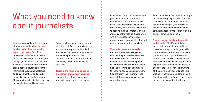# What you need to know about journalists

Reporters regularly write up several stories a day and so they have to be able to find their feet quickly in practically every field. Most newsrooms don't have reporters who specialise in specific areas; for example, in education and science. As such, a reporter has to write an article about a court dispute in the morning, about an archaeological finding at lunchtime and about a medical discovery in the evening. They aren't specialists, but they have an excellent general knowledge.

Reporters have usually spent years studying their field – journalism. Like you, they are experts in their field. They know how best to communicate a topic and present it to their readers, listeners or watchers. It isn't necessary to tell them how to do their jobs.

Topics in the news are planned up to a maximum of one day in advance, because it is difficult to estimate what will happen in the next week.

Most newsrooms don't have enough people and one reporter has to submit six articles or three reports daily. Their work tempo is high and they usually have around 30 minutes to acquire the basic material on the story. Try not to hold up the reporters with any unnecessary details or stories of your personal life – they will appreciate your professionalism.

#### The media reacts immediately.

Reporters will start calling you as soon as the press release reaches their newsroom. It is therefore necessary to answer their phone calls straight away and not to leave it till the following day to get back to them. As soon as one newsroom files the story, the others will lose interest. There is nothing older than yesterday's news.

Reporters have to work on a wide range of stories every day. It is also possible that a sudden exceptional event will cause the filming of your story to be cancelled or rescheduled for a later date. It is necessary to reckon with this and not to take it personally.

Nobody has any legal entitlement to authorisation. The Press Act does not contain any such right and it is therefore merely up to the good will of the journalist whether or not they send you an advance copy of the text for authorisation. They will usually do so, if they have time. However, they will then expect a quick response and merely a check of the facts – not the rewriting of the entire report according to your wishes. Reporters are under pressure from their editors to hand in their pieces on time and in an attractive form.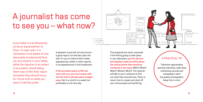# A journalist has come to see you – what now?

A journalist is a professional, so be an equal partner to them. To start with, it is necessary to be aware of one absolutely fundamental fact; you are experts in your fields, while the reporter is an expert in journalism. Avoid telling them how to film their report and what they should focus on. Focus only on what you want to tell the public.

A pleasant mood will not only ensure a good report, but will also open the door for you to make further media appearances, either in other reports or as appearances in live broadcasts.

If the journalist wants to film the story with you, you must reckon with the fact that it will take place straight away. Not in a month or a week, but preferably on the next day.

The prepared are never surprised. If the filming going to take place in your laboratory, get the devices and displays ready and think about the critical points that should be contained in the report (Who? What? When? Where? Why?). The reporter will talk to you in advance to find out what they should know. There is never time to unpack and dust off your microscopes during filming.

### A PRACTICAL TIP

Television appreciates working machines, radio likes interesting sounds and newspapers want top quality photographs. Keep this in mind.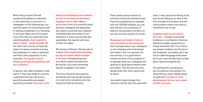When doing a report that will usually be broadcast on television on the same day or come out in a newspaper on the following day, you have the option of correcting yourself or redoing a statement or a recording on the spot. Make use of this option, if you think that you could have said something better. Don't read off a piece of paper – speak naturally. On the other hand, you do not have the option of making corrections during live broadcasts on radio or television and that is why preparation is very important. The reporter should always go through the questions with you in advance.

A reporter can make mistakes in their report, if they have failed to correctly understand the story. Be sure to avoid this possibility and explain everything carefully. If you don't wish

anyone to misinterpret your research, be sure not to leave any questions hanging in the air. Don't worry – you're not in front of a scientific panel and your colleagues will appreciate your ability to promote your research comprehensibly and simply. If your statement is overly long-winded and specialised, the reporter will never contact you again.

30 minutes of filming = 30 seconds of a report. Don't expect that everything you say on camera will be included in the report. Broadcasting time and column space are expensive. Be factual, if you want something specific to appear in the report.

The story should be discussed by somebody who has actually worked on it and not by somebody who has merely formally led the work.

Public media cannot mention or promote commercial entities by law. If you are cooperating, for example, with the TESCAN company, you can only mention it as a producer of electron microscopes from Brno. Or you can omit any mention of it at all.

#### Be pleasant and helpful. Come on time and adhere to the agreement.

Don't complain about your colleagues or your employer and never berate the media in front of reporters. On the contrary, it is a good idea to mention another of your projects or to highlight what your colleagues are working on. Build good relations with journalists. They are the ones who decide what their other reports will be about.

Journalists' plans change from minute to minute. Don't be upset with them, if they cancel the filming at the last minute. Being up-to-date is the first principle of journalism and this unfortunately means that science sometimes has to wait.

#### Academic titles are not used in

the news – instead of associate professors or professors, there are laboratory heads, researchers or simply scientists. Don't try to force any project numbers into the text or the broadcast. Journalists don't like the so-called language of Brussels and most mere mortals have no idea about what the projects are.

The participants, including you, are not paid any remuneration for doing filming a report. Media space is expensive. Consider it a free advertisement for you, your project and the university.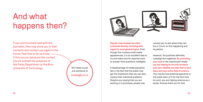# And what happens then?

If you communicate well with the journalist, they may store you in their contacts and contact you again in the future. Feel free to let us know, if this occurs, because this contact occurs outside the auspices of the Press Department at the Brno University of Technology. All it takes is just

one sentence to media@vut.cz







Popular interviewees are often contacted directly, including with regard to more general topics. Even though this involves small media appearances, it is an excellent idea to try and make time for reporters and to answer their questions intelligibly.

A disadvantage of media popularity lies in the fact that the public may get the impression that you can also resolve their individual problems. Despite your saying that you are working on a prototype, people may

contact you to ask where they can buy it. Count on this happening and be patient.

However, the positives definitely outweigh the negatives. By promoting your work in the mainstream media you are helping to not only increase your own visibility, but also that of your team and your entire field of science. This may be how potential aspirants or the public learn of it for the first time. As such, you are helping science as a whole. And we thank you for that.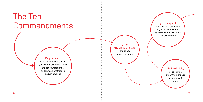## The Ten **Commandments**

#### Be prepared,

have a brief outline of what you want to say in your head and get your laboratory and any demonstrations ready in advance.

Highlight the unique nature or primacy of your research.

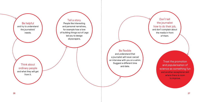

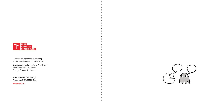

Published by Department of Marketing and External Relations of the BUT in 2021.

Graphic design and typesetting: Vojtěch Lunga Ilustrations: Michaela Lovecká Printing: Tiskárna Didot, s.r.o.

Brno University of Technology Antonínská 548/1, 601 90 Brno

**www.vut.cz**